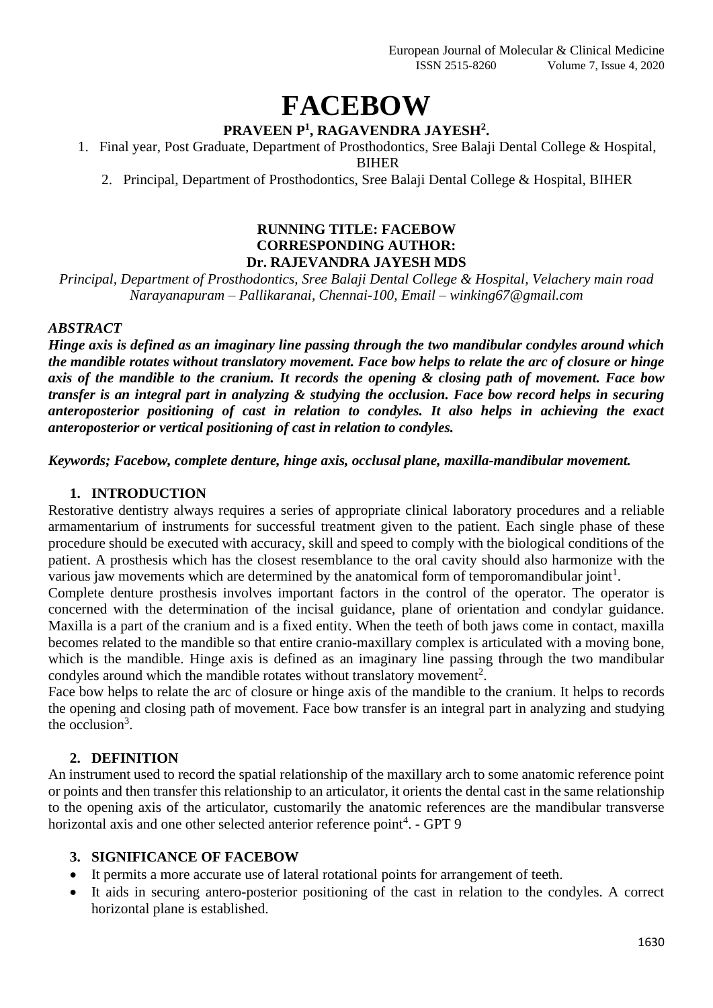# **FACEBOW**

# **PRAVEEN P<sup>1</sup> , RAGAVENDRA JAYESH<sup>2</sup> .**

1. Final year, Post Graduate, Department of Prosthodontics, Sree Balaji Dental College & Hospital, BIHER

2. Principal, Department of Prosthodontics, Sree Balaji Dental College & Hospital, BIHER

#### **RUNNING TITLE: FACEBOW CORRESPONDING AUTHOR: Dr. RAJEVANDRA JAYESH MDS**

*Principal, Department of Prosthodontics, Sree Balaji Dental College & Hospital, Velachery main road Narayanapuram – Pallikaranai, Chennai-100, Email – winking67@gmail.com*

## *ABSTRACT*

*Hinge axis is defined as an imaginary line passing through the two mandibular condyles around which the mandible rotates without translatory movement. Face bow helps to relate the arc of closure or hinge axis of the mandible to the cranium. It records the opening & closing path of movement. Face bow transfer is an integral part in analyzing & studying the occlusion. Face bow record helps in securing anteroposterior positioning of cast in relation to condyles. It also helps in achieving the exact anteroposterior or vertical positioning of cast in relation to condyles.* 

*Keywords; Facebow, complete denture, hinge axis, occlusal plane, maxilla-mandibular movement.*

## **1. INTRODUCTION**

Restorative dentistry always requires a series of appropriate clinical laboratory procedures and a reliable armamentarium of instruments for successful treatment given to the patient. Each single phase of these procedure should be executed with accuracy, skill and speed to comply with the biological conditions of the patient. A prosthesis which has the closest resemblance to the oral cavity should also harmonize with the various jaw movements which are determined by the anatomical form of temporomandibular joint<sup>1</sup>.

Complete denture prosthesis involves important factors in the control of the operator. The operator is concerned with the determination of the incisal guidance, plane of orientation and condylar guidance. Maxilla is a part of the cranium and is a fixed entity. When the teeth of both jaws come in contact, maxilla becomes related to the mandible so that entire cranio-maxillary complex is articulated with a moving bone, which is the mandible. Hinge axis is defined as an imaginary line passing through the two mandibular condyles around which the mandible rotates without translatory movement<sup>2</sup>.

Face bow helps to relate the arc of closure or hinge axis of the mandible to the cranium. It helps to records the opening and closing path of movement. Face bow transfer is an integral part in analyzing and studying the occlusion<sup>3</sup>.

## **2. DEFINITION**

An instrument used to record the spatial relationship of the maxillary arch to some anatomic reference point or points and then transfer this relationship to an articulator, it orients the dental cast in the same relationship to the opening axis of the articulator, customarily the anatomic references are the mandibular transverse horizontal axis and one other selected anterior reference point<sup>4</sup>. - GPT 9

## **3. SIGNIFICANCE OF FACEBOW**

- It permits a more accurate use of lateral rotational points for arrangement of teeth.
- It aids in securing antero-posterior positioning of the cast in relation to the condyles. A correct horizontal plane is established.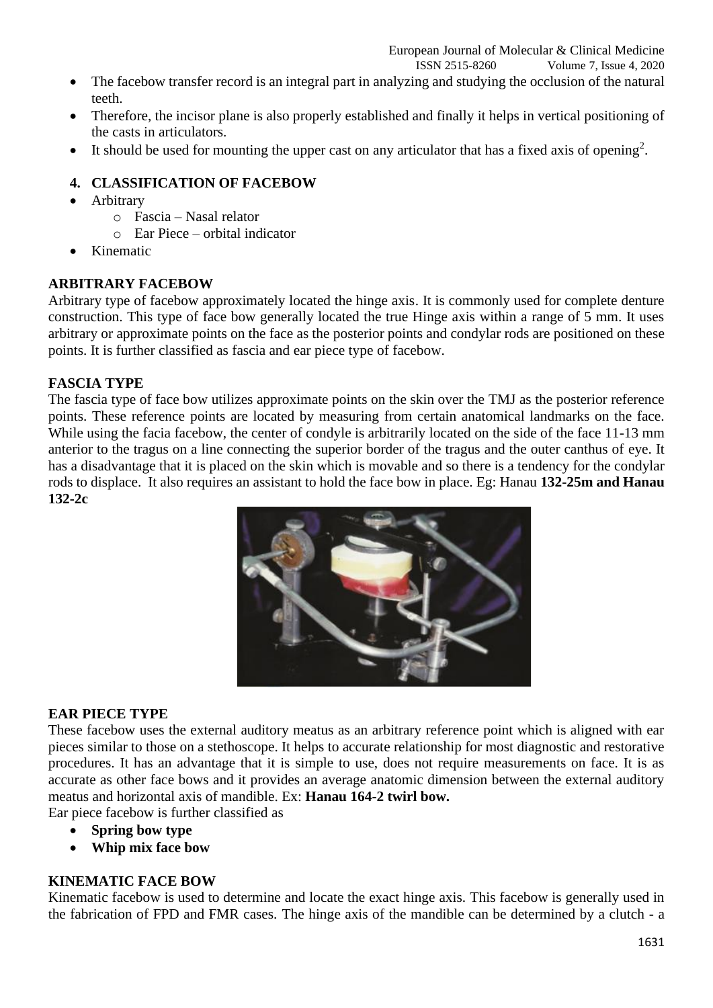ISSN 2515-8260 Volume 7, Issue 4, 2020

- The facebow transfer record is an integral part in analyzing and studying the occlusion of the natural teeth.
- Therefore, the incisor plane is also properly established and finally it helps in vertical positioning of the casts in articulators.
- It should be used for mounting the upper cast on any articulator that has a fixed axis of opening<sup>2</sup>.

## **4. CLASSIFICATION OF FACEBOW**

- Arbitrary
	- o Fascia Nasal relator
	- o Ear Piece orbital indicator
- Kinematic

## **ARBITRARY FACEBOW**

Arbitrary type of facebow approximately located the hinge axis. It is commonly used for complete denture construction. This type of face bow generally located the true Hinge axis within a range of 5 mm. It uses arbitrary or approximate points on the face as the posterior points and condylar rods are positioned on these points. It is further classified as fascia and ear piece type of facebow.

## **FASCIA TYPE**

The fascia type of face bow utilizes approximate points on the skin over the TMJ as the posterior reference points. These reference points are located by measuring from certain anatomical landmarks on the face. While using the facia facebow, the center of condyle is arbitrarily located on the side of the face 11-13 mm anterior to the tragus on a line connecting the superior border of the tragus and the outer canthus of eye. It has a disadvantage that it is placed on the skin which is movable and so there is a tendency for the condylar rods to displace. It also requires an assistant to hold the face bow in place. Eg: Hanau **132-25m and Hanau 132-2c**



#### **EAR PIECE TYPE**

These facebow uses the external auditory meatus as an arbitrary reference point which is aligned with ear pieces similar to those on a stethoscope. It helps to accurate relationship for most diagnostic and restorative procedures. It has an advantage that it is simple to use, does not require measurements on face. It is as accurate as other face bows and it provides an average anatomic dimension between the external auditory meatus and horizontal axis of mandible. Ex: **Hanau 164-2 twirl bow.**

Ear piece facebow is further classified as

- **Spring bow type**
- **Whip mix face bow**

## **KINEMATIC FACE BOW**

Kinematic facebow is used to determine and locate the exact hinge axis. This facebow is generally used in the fabrication of FPD and FMR cases. The hinge axis of the mandible can be determined by a clutch - a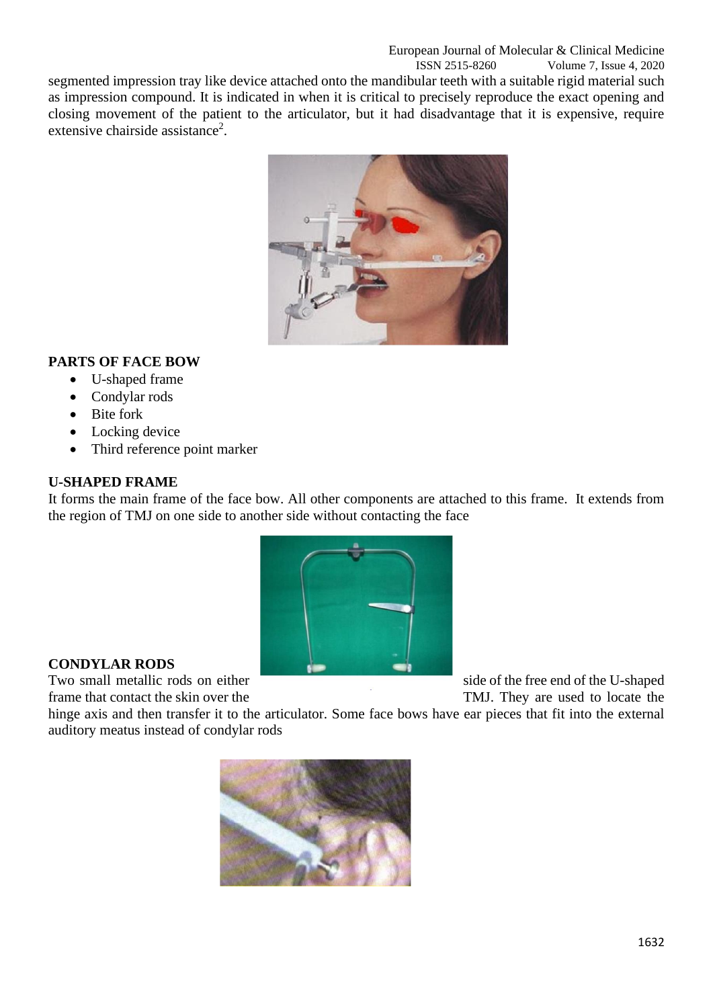segmented impression tray like device attached onto the mandibular teeth with a suitable rigid material such as impression compound. It is indicated in when it is critical to precisely reproduce the exact opening and closing movement of the patient to the articulator, but it had disadvantage that it is expensive, require extensive chairside assistance<sup>2</sup>.



# **PARTS OF FACE BOW**

- U-shaped frame
- Condylar rods
- Bite fork
- Locking device
- Third reference point marker

## **U-SHAPED FRAME**

It forms the main frame of the face bow. All other components are attached to this frame. It extends from the region of TMJ on one side to another side without contacting the face



## **CONDYLAR RODS**

Two small metallic rods on either side of the free end of the U-shaped frame that contact the skin over the TMJ. They are used to locate the

hinge axis and then transfer it to the articulator. Some face bows have ear pieces that fit into the external auditory meatus instead of condylar rods

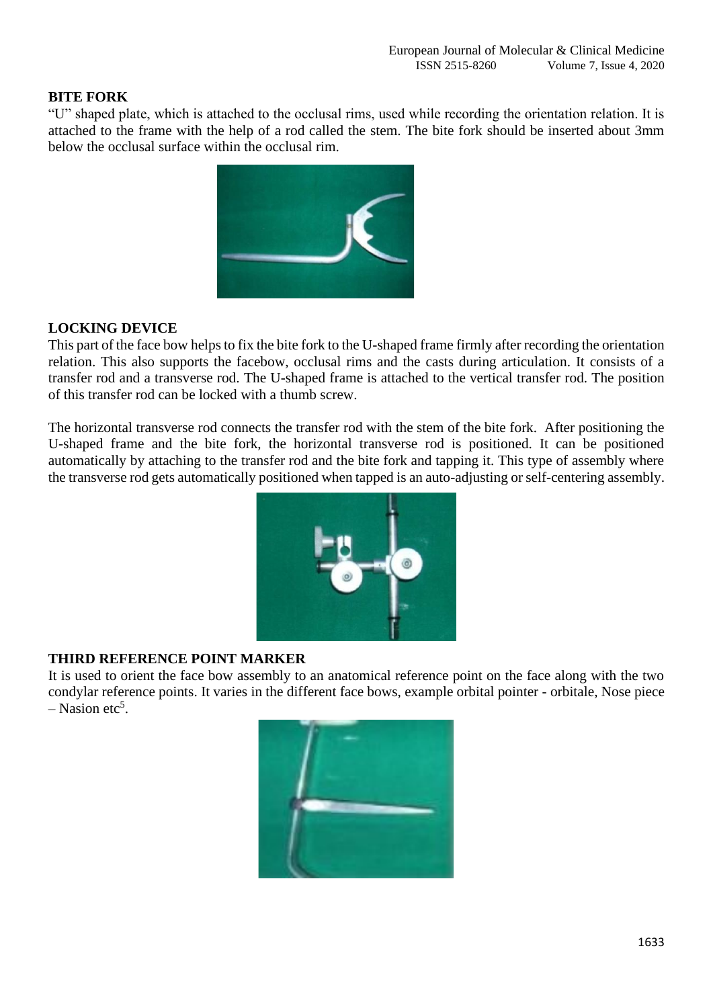## **BITE FORK**

"U" shaped plate, which is attached to the occlusal rims, used while recording the orientation relation. It is attached to the frame with the help of a rod called the stem. The bite fork should be inserted about 3mm below the occlusal surface within the occlusal rim.



## **LOCKING DEVICE**

This part of the face bow helps to fix the bite fork to the U-shaped frame firmly after recording the orientation relation. This also supports the facebow, occlusal rims and the casts during articulation. It consists of a transfer rod and a transverse rod. The U-shaped frame is attached to the vertical transfer rod. The position of this transfer rod can be locked with a thumb screw.

The horizontal transverse rod connects the transfer rod with the stem of the bite fork. After positioning the U-shaped frame and the bite fork, the horizontal transverse rod is positioned. It can be positioned automatically by attaching to the transfer rod and the bite fork and tapping it. This type of assembly where the transverse rod gets automatically positioned when tapped is an auto-adjusting or self-centering assembly.



#### **THIRD REFERENCE POINT MARKER**

It is used to orient the face bow assembly to an anatomical reference point on the face along with the two condylar reference points. It varies in the different face bows, example orbital pointer - orbitale, Nose piece  $-$  Nasion etc<sup>5</sup>.

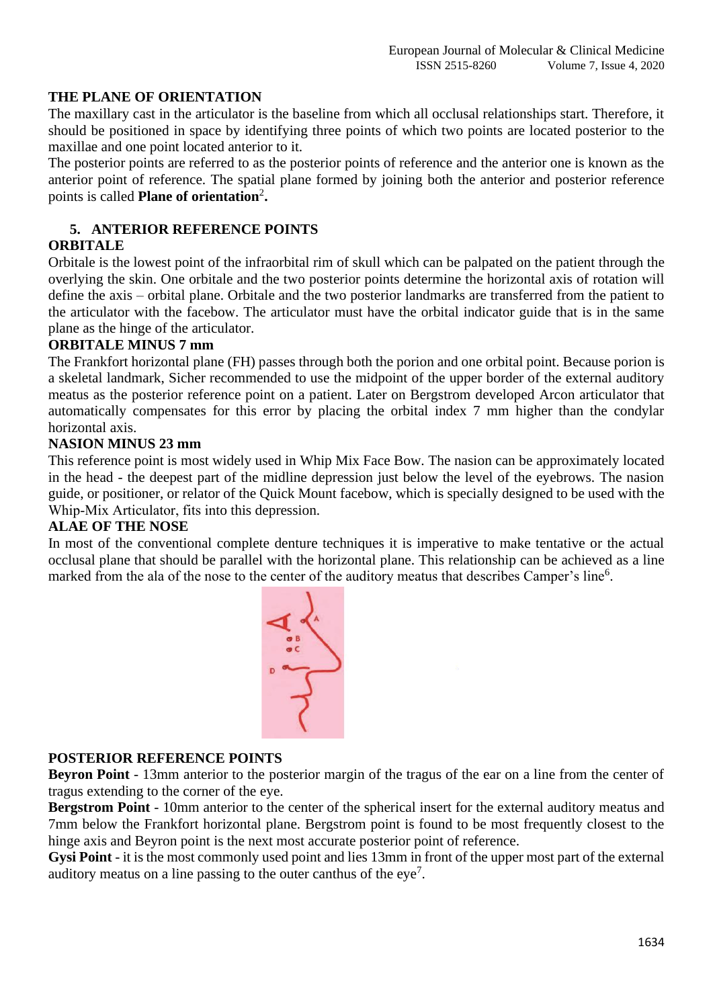## **THE PLANE OF ORIENTATION**

The maxillary cast in the articulator is the baseline from which all occlusal relationships start. Therefore, it should be positioned in space by identifying three points of which two points are located posterior to the maxillae and one point located anterior to it.

The posterior points are referred to as the posterior points of reference and the anterior one is known as the anterior point of reference. The spatial plane formed by joining both the anterior and posterior reference points is called **Plane of orientation**<sup>2</sup> **.**

## **5. ANTERIOR REFERENCE POINTS**

#### **ORBITALE**

Orbitale is the lowest point of the infraorbital rim of skull which can be palpated on the patient through the overlying the skin. One orbitale and the two posterior points determine the horizontal axis of rotation will define the axis – orbital plane. Orbitale and the two posterior landmarks are transferred from the patient to the articulator with the facebow. The articulator must have the orbital indicator guide that is in the same plane as the hinge of the articulator.

#### **ORBITALE MINUS 7 mm**

The Frankfort horizontal plane (FH) passes through both the porion and one orbital point. Because porion is a skeletal landmark, Sicher recommended to use the midpoint of the upper border of the external auditory meatus as the posterior reference point on a patient. Later on Bergstrom developed Arcon articulator that automatically compensates for this error by placing the orbital index 7 mm higher than the condylar horizontal axis.

#### **NASION MINUS 23 mm**

This reference point is most widely used in Whip Mix Face Bow. The nasion can be approximately located in the head - the deepest part of the midline depression just below the level of the eyebrows. The nasion guide, or positioner, or relator of the Quick Mount facebow, which is specially designed to be used with the Whip-Mix Articulator, fits into this depression.

### **ALAE OF THE NOSE**

In most of the conventional complete denture techniques it is imperative to make tentative or the actual occlusal plane that should be parallel with the horizontal plane. This relationship can be achieved as a line marked from the ala of the nose to the center of the auditory meatus that describes Camper's line<sup>6</sup>.



#### **POSTERIOR REFERENCE POINTS**

**Beyron Point** - 13mm anterior to the posterior margin of the tragus of the ear on a line from the center of tragus extending to the corner of the eye.

**Bergstrom Point** - 10mm anterior to the center of the spherical insert for the external auditory meatus and 7mm below the Frankfort horizontal plane. Bergstrom point is found to be most frequently closest to the hinge axis and Beyron point is the next most accurate posterior point of reference.

**Gysi Point** - it is the most commonly used point and lies 13mm in front of the upper most part of the external auditory meatus on a line passing to the outer canthus of the eye<sup>7</sup>.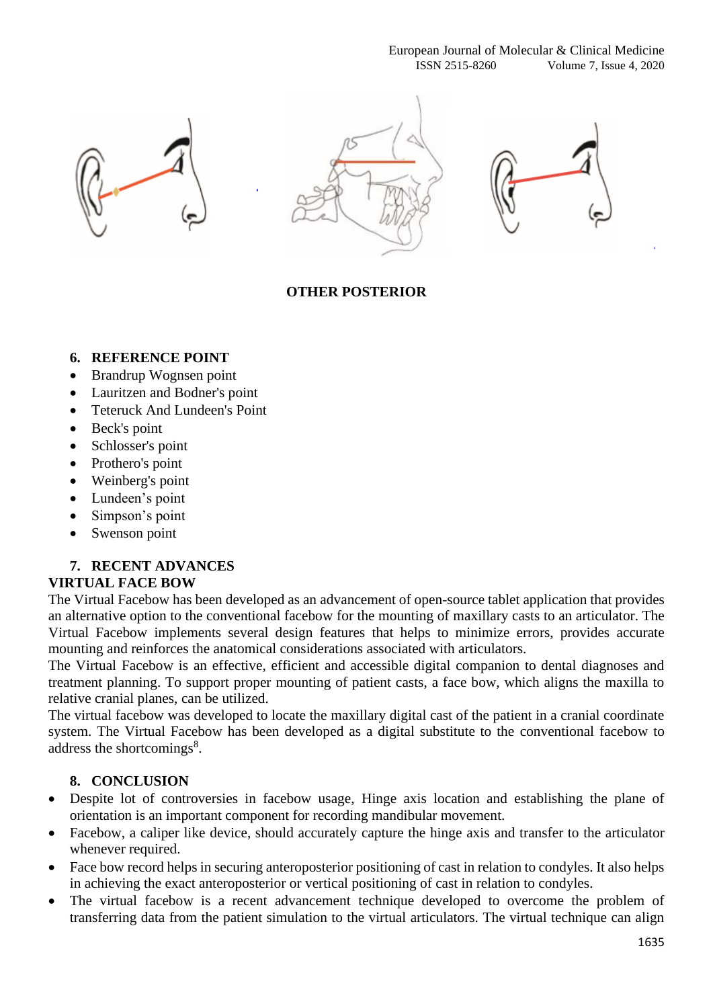





# **OTHER POSTERIOR**

## **6. REFERENCE POINT**

- Brandrup Wognsen point
- Lauritzen and Bodner's point
- Teteruck And Lundeen's Point
- Beck's point
- Schlosser's point
- Prothero's point
- Weinberg's point
- Lundeen's point
- Simpson's point
- Swenson point

## **7. RECENT ADVANCES**

## **VIRTUAL FACE BOW**

The Virtual Facebow has been developed as an advancement of open-source tablet application that provides an alternative option to the conventional facebow for the mounting of maxillary casts to an articulator. The Virtual Facebow implements several design features that helps to minimize errors, provides accurate mounting and reinforces the anatomical considerations associated with articulators.

The Virtual Facebow is an effective, efficient and accessible digital companion to dental diagnoses and treatment planning. To support proper mounting of patient casts, a face bow, which aligns the maxilla to relative cranial planes, can be utilized.

The virtual facebow was developed to locate the maxillary digital cast of the patient in a cranial coordinate system. The Virtual Facebow has been developed as a digital substitute to the conventional facebow to address the shortcomings<sup>8</sup>.

## **8. CONCLUSION**

- Despite lot of controversies in facebow usage, Hinge axis location and establishing the plane of orientation is an important component for recording mandibular movement.
- Facebow, a caliper like device, should accurately capture the hinge axis and transfer to the articulator whenever required.
- Face bow record helps in securing anteroposterior positioning of cast in relation to condyles. It also helps in achieving the exact anteroposterior or vertical positioning of cast in relation to condyles.
- The virtual facebow is a recent advancement technique developed to overcome the problem of transferring data from the patient simulation to the virtual articulators. The virtual technique can align